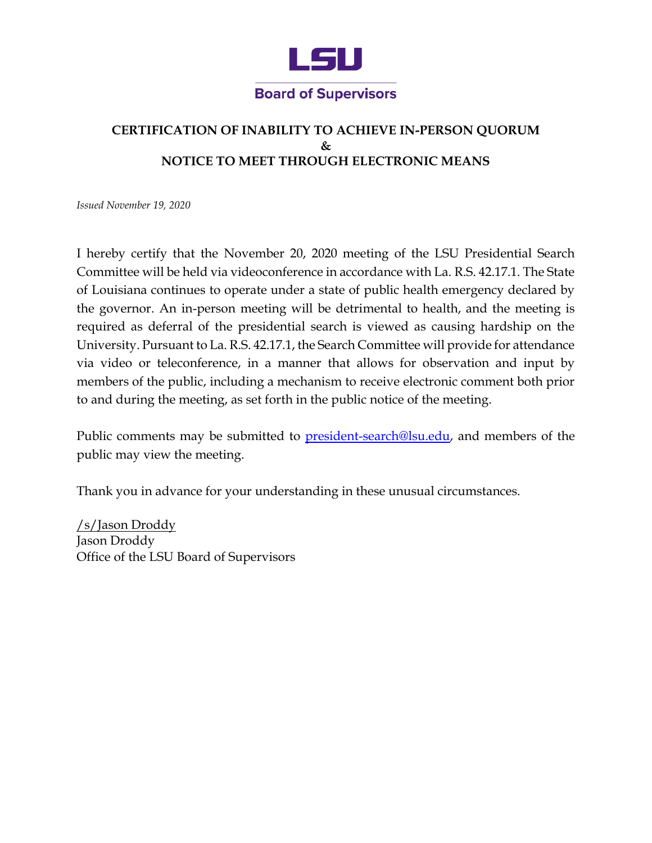

## **CERTIFICATION OF INABILITY TO ACHIEVE IN-PERSON QUORUM & NOTICE TO MEET THROUGH ELECTRONIC MEANS**

*Issued November 19, 2020* 

 of Louisiana continues to operate under a state of public health emergency declared by the governor. An in-person meeting will be detrimental to health, and the meeting is required as deferral of the presidential search is viewed as causing hardship on the University. Pursuant to La. R.S. 42.17.1, the Search Committee will provide for attendance via video or teleconference, in a manner that allows for observation and input by members of the public, including a mechanism to receive electronic comment both prior I hereby certify that the November 20, 2020 meeting of the LSU Presidential Search Committee will be held via videoconference in accordance with La. R.S. 42.17.1. The State to and during the meeting, as set forth in the public notice of the meeting.

Public comments may be submitted to <u>president-search@lsu.edu</u>, and members of the public may view the meeting.

Thank you in advance for your understanding in these unusual circumstances.

/s/Jason Droddy Jason Droddy Office of the LSU Board of Supervisors